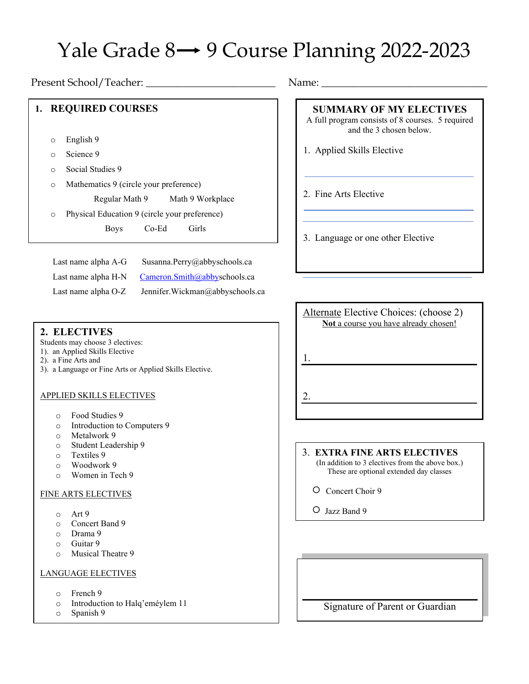# Yale Grade  $8 \rightarrow 9$  Course Planning 2022-2023

Present School/Teacher: \_\_\_\_\_\_\_\_\_\_\_\_\_\_\_\_\_\_\_\_\_\_\_\_\_ Name: \_\_\_\_\_\_\_\_\_\_\_\_\_\_\_\_\_\_\_\_\_\_\_\_\_\_\_\_\_\_\_\_

## **1. REQUIRED COURSES**

- o English 9
- o Science 9
- o Social Studies 9
- o Mathematics 9 (circle your preference)

Regular Math 9 Math 9 Workplace

o Physical Education 9 (circle your preference)

Boys Co-Ed Girls

| Last name alpha A-G | Susanna.Perry@abbyschools.ca    |
|---------------------|---------------------------------|
| Last name alpha H-N | Cameron.Smith@abbyschools.ca    |
| Last name alpha O-Z | Jennifer.Wickman@abbyschools.ca |

## **2. ELECTIVES**

Students may choose 3 electives:

- 1). an Applied Skills Elective
- 2). a Fine Arts and
- 3). a Language or Fine Arts or Applied Skills Elective.

## APPLIED SKILLS ELECTIVES

- o Food Studies 9
- o Introduction to Computers 9
- o Metalwork 9
- $\circ$  Student Leadership 9
- Textiles 9
- o Woodwork 9
- o Women in Tech 9

#### FINE ARTS ELECTIVES

- o Art 9
- $\circ$  Concert Band 9
- Drama 9
- $\circ$  Guitar 9
- Musical Theatre 9

## LANGUAGE ELECTIVES

- o French 9
- o Introduction to Halq'eméylem 11
- o Spanish 9

# **SUMMARY OF MY ELECTIVES**

- A full program consists of 8 courses. 5 required and the 3 chosen below.
- 1. Applied Skills Elective
- 2. Fine Arts Elective

3. Language or one other Elective

Alternate Elective Choices: (choose 2) **Not** a course you have already chosen!

1.

2.

3. **EXTRA FINE ARTS ELECTIVES** (In addition to 3 electives from the above box.) These are optional extended day classes

- Concert Choir 9
- Jazz Band 9

Signature of Parent or Guardian